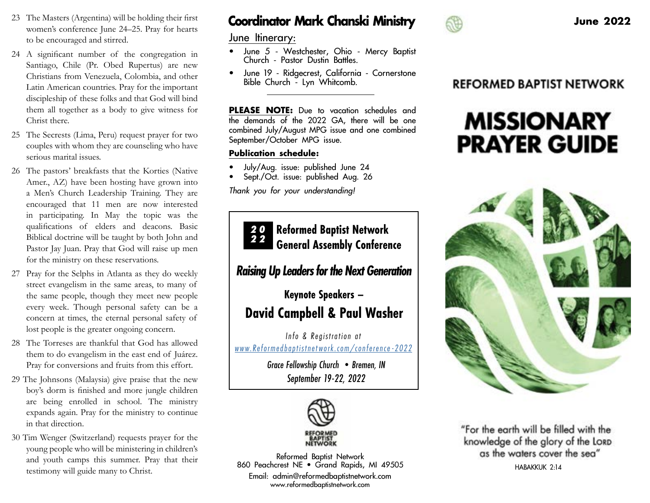- 23 The Masters (Argentina) will be holding their first women's conference June 24–25. Pray for hearts to be encouraged and stirred.
- 24 A significant number of the congregation in Santiago, Chile (Pr. Obed Rupertus) are new Christians from Venezuela, Colombia, and other Latin American countries. Pray for the important discipleship of these folks and that God will bind them all together as a body to give witness for Christ there.
- 25 The Secrests (Lima, Peru) request prayer for two couples with whom they are counseling who have serious marital issues.
- 26 The pastors' breakfasts that the Korties (Native Amer., AZ) have been hosting have grown into a Men's Church Leadership Training. They are encouraged that 11 men are now interested in participating. In May the topic was the qualifications of elders and deacons. Basic Biblical doctrine will be taught by both John and Pastor Jay Juan. Pray that God will raise up men for the ministry on these reservations.
- 27 Pray for the Selphs in Atlanta as they do weekly street evangelism in the same areas, to many of the same people, though they meet new people every week. Though personal safety can be a concern at times, the eternal personal safety of lost people is the greater ongoing concern.
- 28 The Torreses are thankful that God has allowed them to do evangelism in the east end of Juárez. Pray for conversions and fruits from this effort.
- 29 The Johnsons (Malaysia) give praise that the new boy's dorm is finished and more jungle children are being enrolled in school. The ministry expands again. Pray for the ministry to continue in that direction.
- 30 Tim Wenger (Switzerland) requests prayer for the young people who will be ministering in children's and youth camps this summer. Pray that their testimony will guide many to Christ.

# **Coordinator Mark Chanski Ministry and Allen Coordinator Mark Chanski Ministry and Allen Coordinator Allen Coordinator Mark Chanski Ministry and Allen Coordinator June 2022**

June Itinerary:

- June 5 Westchester, Ohio Mercy Baptist Church - Pastor Dustin Battles.
- June 19 Ridgecrest, California Cornerstone Bible Church - Lyn Whitcomb.

**PLEASE NOTE :** Due to vacation schedules and the demands of the 2022 GA, there will be one combined July/August MPG issue and one combined September/October MPG issue.

#### **Publication schedule :**

- July/Aug. issue: published June 24
- Sept./Oct. issue: published Aug. 26

Thank you for your understanding!



### *Raising Up Leaders for the Next Generation*

# **Keynote Speakers – David Campbell & Paul Washer**

*Info & Registration at [www.Reformedbaptistnetwork.com/conference](https://reformedbaptistnetwork.com/conference-2022/)-2022*

> *Grace Fellowship Church •Bremen, IN September 19-22, 2022*



Reformed Baptist Network 860 Peachcrest NE • Grand Rapids, MI 49505

Email: admin@reformedbaptistnetwork.com www.reformedbaptistnetwork.com



## **REFORMED BAPTIST NETWORK**

# **MISSIONARY PRAYER GUIDE**



"For the earth will be filled with the knowledge of the glory of the LORD as the waters cover the sea" HABAKKUK 2:14